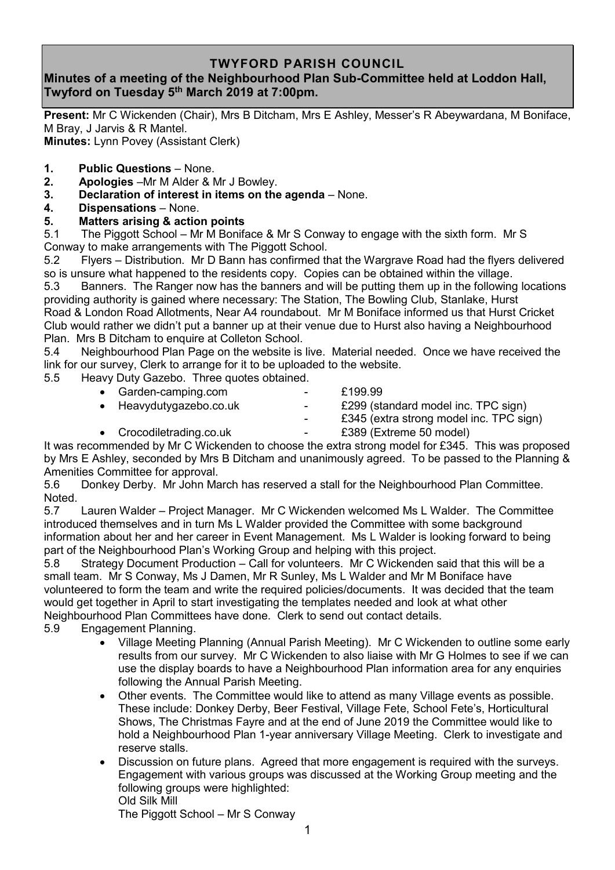## **TWYFORD PARISH COUNCIL**

# **Minutes of a meeting of the Neighbourhood Plan Sub-Committee held at Loddon Hall, Twyford on Tuesday 5th March 2019 at 7:00pm.**

**Present:** Mr C Wickenden (Chair), Mrs B Ditcham, Mrs E Ashley, Messer's R Abeywardana, M Boniface, M Bray, J Jarvis & R Mantel.

**Minutes:** Lynn Povey (Assistant Clerk)

- **1. Public Questions**  None.
- **2. Apologies** –Mr M Alder & Mr J Bowley.
- **3. Declaration of interest in items on the agenda**  None.
- **4. Dispensations**  None.

## **5. Matters arising & action points**

5.1 The Piggott School – Mr M Boniface & Mr S Conway to engage with the sixth form. Mr S Conway to make arrangements with The Piggott School.

5.2 Flyers – Distribution. Mr D Bann has confirmed that the Wargrave Road had the flyers delivered so is unsure what happened to the residents copy. Copies can be obtained within the village.

5.3 Banners. The Ranger now has the banners and will be putting them up in the following locations providing authority is gained where necessary: The Station, The Bowling Club, Stanlake, Hurst Road & London Road Allotments, Near A4 roundabout. Mr M Boniface informed us that Hurst Cricket Club would rather we didn't put a banner up at their venue due to Hurst also having a Neighbourhood Plan. Mrs B Ditcham to enquire at Colleton School.

5.4 Neighbourhood Plan Page on the website is live. Material needed. Once we have received the link for our survey, Clerk to arrange for it to be uploaded to the website.

- 5.5 Heavy Duty Gazebo. Three quotes obtained.
	- Garden-camping.com £199.99
	- Heavydutygazebo.co.uk £299 (standard model inc. TPC sign)
- - £345 (extra strong model inc. TPC sign)
	-
	- Crocodiletrading.co.uk £389 (Extreme 50 model)

It was recommended by Mr C Wickenden to choose the extra strong model for £345. This was proposed by Mrs E Ashley, seconded by Mrs B Ditcham and unanimously agreed. To be passed to the Planning & Amenities Committee for approval.

5.6 Donkey Derby. Mr John March has reserved a stall for the Neighbourhood Plan Committee. Noted.

5.7 Lauren Walder – Project Manager. Mr C Wickenden welcomed Ms L Walder. The Committee introduced themselves and in turn Ms L Walder provided the Committee with some background information about her and her career in Event Management. Ms L Walder is looking forward to being part of the Neighbourhood Plan's Working Group and helping with this project.

5.8 Strategy Document Production – Call for volunteers. Mr C Wickenden said that this will be a small team. Mr S Conway, Ms J Damen, Mr R Sunley, Ms L Walder and Mr M Boniface have volunteered to form the team and write the required policies/documents. It was decided that the team would get together in April to start investigating the templates needed and look at what other Neighbourhood Plan Committees have done. Clerk to send out contact details.

5.9 Engagement Planning.

- Village Meeting Planning (Annual Parish Meeting). Mr C Wickenden to outline some early results from our survey. Mr C Wickenden to also liaise with Mr G Holmes to see if we can use the display boards to have a Neighbourhood Plan information area for any enquiries following the Annual Parish Meeting.
- Other events. The Committee would like to attend as many Village events as possible. These include: Donkey Derby, Beer Festival, Village Fete, School Fete's, Horticultural Shows, The Christmas Fayre and at the end of June 2019 the Committee would like to hold a Neighbourhood Plan 1-year anniversary Village Meeting. Clerk to investigate and reserve stalls.
- Discussion on future plans. Agreed that more engagement is required with the surveys. Engagement with various groups was discussed at the Working Group meeting and the following groups were highlighted: Old Silk Mill

The Piggott School – Mr S Conway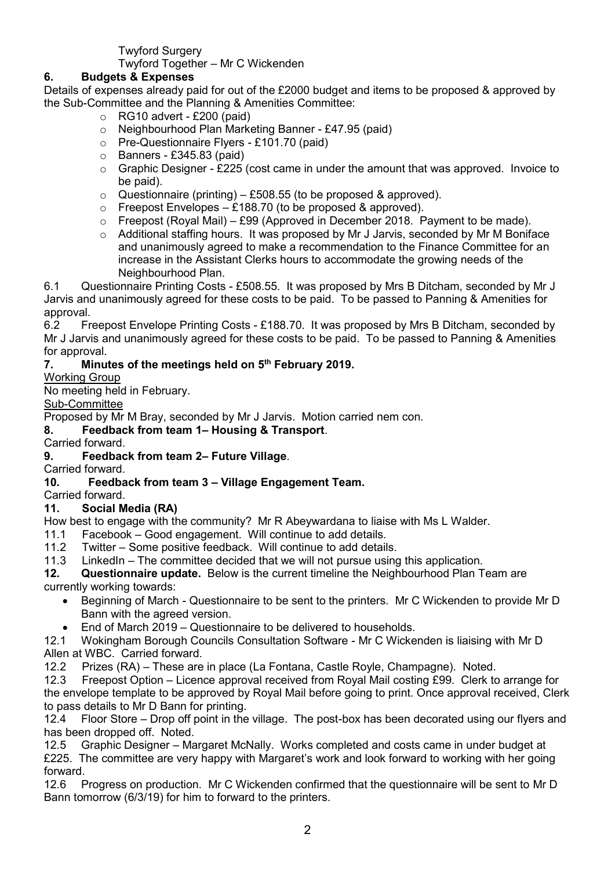Twyford Surgery

Twyford Together – Mr C Wickenden

# **6. Budgets & Expenses**

Details of expenses already paid for out of the £2000 budget and items to be proposed & approved by the Sub-Committee and the Planning & Amenities Committee:

- $\circ$  RG10 advert £200 (paid)
- o Neighbourhood Plan Marketing Banner £47.95 (paid)
- o Pre-Questionnaire Flyers £101.70 (paid)
- $\circ$  Banners £345.83 (paid)
- $\circ$  Graphic Designer £225 (cost came in under the amount that was approved. Invoice to be paid).
- $\circ$  Questionnaire (printing) £508.55 (to be proposed & approved).
- $\circ$  Freepost Envelopes £188.70 (to be proposed & approved).
- $\circ$  Freepost (Royal Mail) £99 (Approved in December 2018. Payment to be made).
- o Additional staffing hours. It was proposed by Mr J Jarvis, seconded by Mr M Boniface and unanimously agreed to make a recommendation to the Finance Committee for an increase in the Assistant Clerks hours to accommodate the growing needs of the Neighbourhood Plan.

6.1 Questionnaire Printing Costs - £508.55. It was proposed by Mrs B Ditcham, seconded by Mr J Jarvis and unanimously agreed for these costs to be paid. To be passed to Panning & Amenities for approval.

6.2 Freepost Envelope Printing Costs - £188.70. It was proposed by Mrs B Ditcham, seconded by Mr J Jarvis and unanimously agreed for these costs to be paid. To be passed to Panning & Amenities for approval.

## **7. Minutes of the meetings held on 5 th February 2019.**

## Working Group

No meeting held in February.

#### Sub-Committee

Proposed by Mr M Bray, seconded by Mr J Jarvis. Motion carried nem con.

## **8. Feedback from team 1– Housing & Transport**.

Carried forward.

#### **9. Feedback from team 2– Future Village**.

Carried forward.

# **10. Feedback from team 3 – Village Engagement Team.**

Carried forward.

## **11. Social Media (RA)**

How best to engage with the community? Mr R Abeywardana to liaise with Ms L Walder.

11.1 Facebook – Good engagement. Will continue to add details.

11.2 Twitter – Some positive feedback. Will continue to add details.

11.3 LinkedIn – The committee decided that we will not pursue using this application.

**12. Questionnaire update.** Below is the current timeline the Neighbourhood Plan Team are currently working towards:

- Beginning of March Questionnaire to be sent to the printers. Mr C Wickenden to provide Mr D Bann with the agreed version.
- End of March 2019 Questionnaire to be delivered to households.

12.1 Wokingham Borough Councils Consultation Software - Mr C Wickenden is liaising with Mr D Allen at WBC. Carried forward.

12.2 Prizes (RA) – These are in place (La Fontana, Castle Royle, Champagne). Noted.

12.3 Freepost Option – Licence approval received from Royal Mail costing £99. Clerk to arrange for the envelope template to be approved by Royal Mail before going to print. Once approval received, Clerk to pass details to Mr D Bann for printing.

12.4 Floor Store – Drop off point in the village. The post-box has been decorated using our flyers and has been dropped off. Noted.

12.5 Graphic Designer – Margaret McNally. Works completed and costs came in under budget at £225. The committee are very happy with Margaret's work and look forward to working with her going forward.

12.6 Progress on production. Mr C Wickenden confirmed that the questionnaire will be sent to Mr D Bann tomorrow (6/3/19) for him to forward to the printers.